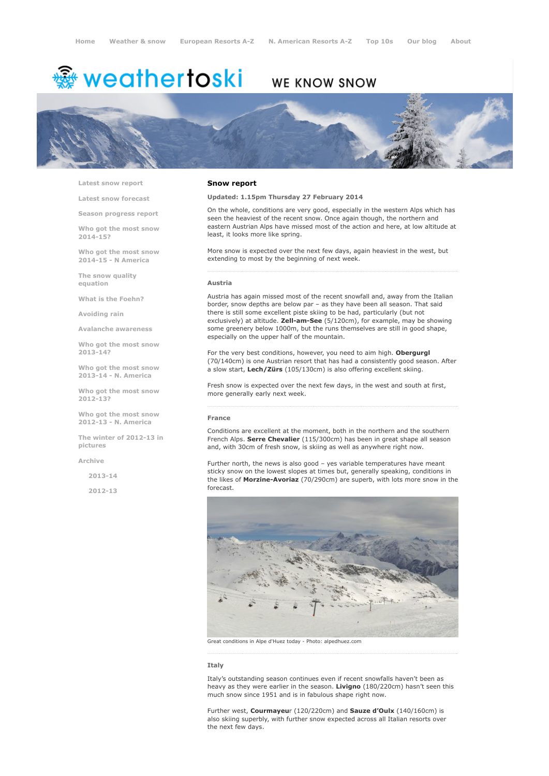# <sup>霧</sup> weathertoski

# WE KNOW SNOW



Latest snow [report](http://www.weathertoski.co.uk/weather-snow/latest-snow-report/)

Latest snow [forecast](http://www.weathertoski.co.uk/weather-snow/latest-snow-forecast/)

Season [progress](http://www.weathertoski.co.uk/weather-snow/season-progress-report/) report

Who got the most snow 2014-15?

Who got the most snow 2014-15 - N America

The snow quality [equation](http://www.weathertoski.co.uk/weather-snow/the-snow-quality-equation/)

What is the [Foehn?](http://www.weathertoski.co.uk/weather-snow/what-is-the-foehn/)

[Avoiding](http://www.weathertoski.co.uk/weather-snow/avoiding-rain/) rain

Avalanche [awareness](http://www.weathertoski.co.uk/weather-snow/avalanche-awareness/)

Who got the most snow 2013-14?

Who got the most snow 2013-14 - N. America

Who got the most snow 2012-13?

Who got the most snow 2012-13 - N. America

The winter of 2012-13 in pictures

[Archive](http://www.weathertoski.co.uk/weather-snow/archive/)

2013-14

2012-13

#### Snow report

Updated: 1.15pm Thursday 27 February 2014

On the whole, conditions are very good, especially in the western Alps which has seen the heaviest of the recent snow. Once again though, the northern and eastern Austrian Alps have missed most of the action and here, at low altitude at least, it looks more like spring.

More snow is expected over the next few days, again heaviest in the west, but extending to most by the beginning of next week.

#### Austria

Austria has again missed most of the recent snowfall and, away from the Italian border, snow depths are below par – as they have been all season. That said there is still some excellent piste skiing to be had, particularly (but not exclusively) at altitude. Zell-am-See (5/120cm), for example, may be showing some greenery below 1000m, but the runs themselves are still in good shape, especially on the upper half of the mountain.

For the very best conditions, however, you need to aim high. Obergurgl (70/140cm) is one Austrian resort that has had a consistently good season. After a slow start, Lech/Zürs (105/130cm) is also offering excellent skiing.

Fresh snow is expected over the next few days, in the west and south at first, more generally early next week.

#### France

Conditions are excellent at the moment, both in the northern and the southern French Alps. Serre Chevalier (115/300cm) has been in great shape all season and, with 30cm of fresh snow, is skiing as well as anywhere right now.

Further north, the news is also good – yes variable temperatures have meant sticky snow on the lowest slopes at times but, generally speaking, conditions in the likes of Morzine-Avoriaz (70/290cm) are superb, with lots more snow in the forecast.



Great conditions in Alpe d'Huez today Photo: alpedhuez.com

# Italy

Italy's outstanding season continues even if recent snowfalls haven't been as heavy as they were earlier in the season. Livigno (180/220cm) hasn't seen this much snow since 1951 and is in fabulous shape right now.

Further west, Courmayeur (120/220cm) and Sauze d'Oulx (140/160cm) is also skiing superbly, with further snow expected across all Italian resorts over the next few days.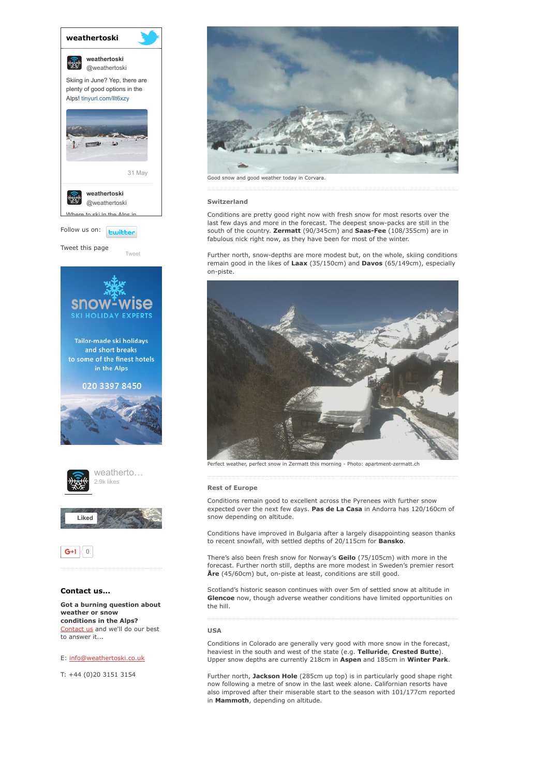

[Tweet](https://twitter.com/intent/tweet?original_referer=http%3A%2F%2Fwww.weathertoski.co.uk%2Fweather-snow%2Farchive%2Fsnow-report-27-02-2014%2F&ref_src=twsrc%5Etfw&text=Weather%20to%20ski%20-%20snow%20report%20-%2027%20February%202014&tw_p=tweetbutton&url=http%3A%2F%2Fwww.weathertoski.co.uk%2Fweather-snow%2Farchive%2Fsnow-report-27-02-2014%2F)

Tweet this page







# Contact us...

Got a burning question about weather or snow conditions in the Alps? [Contact](http://www.weathertoski.co.uk/about-1/contact-us/) us and we'll do our best to answer it...

### E: [info@weathertoski.co.uk](mailto:fraser@weathertoski.co.uk)

T: +44 (0)20 3151 3154



Good snow and good weather today in Corvara.

#### Switzerland

Conditions are pretty good right now with fresh snow for most resorts over the last few days and more in the forecast. The deepest snow-packs are still in the south of the country. Zermatt (90/345cm) and Saas-Fee (108/355cm) are in fabulous nick right now, as they have been for most of the winter.

Further north, snow-depths are more modest but, on the whole, skiing conditions remain good in the likes of Laax (35/150cm) and Davos (65/149cm), especially on-piste.



Perfect weather, perfect snow in Zermatt this morning - Photo: apartment-zermatt.ch

#### Rest of Europe

Conditions remain good to excellent across the Pyrenees with further snow expected over the next few days. Pas de La Casa in Andorra has 120/160cm of snow depending on altitude.

Conditions have improved in Bulgaria after a largely disappointing season thanks to recent snowfall, with settled depths of 20/115cm for Bansko.

There's also been fresh snow for Norway's Geilo (75/105cm) with more in the forecast. Further north still, depths are more modest in Sweden's premier resort  $Are$  (45/60cm) but, on-piste at least, conditions are still good.

Scotland's historic season continues with over 5m of settled snow at altitude in Glencoe now, though adverse weather conditions have limited opportunities on the hill.

# USA

Conditions in Colorado are generally very good with more snow in the forecast, heaviest in the south and west of the state (e.g. Telluride, Crested Butte). Upper snow depths are currently 218cm in Aspen and 185cm in Winter Park.

Further north, Jackson Hole (285cm up top) is in particularly good shape right now following a metre of snow in the last week alone. Californian resorts have also improved after their miserable start to the season with 101/177cm reported in Mammoth, depending on altitude.